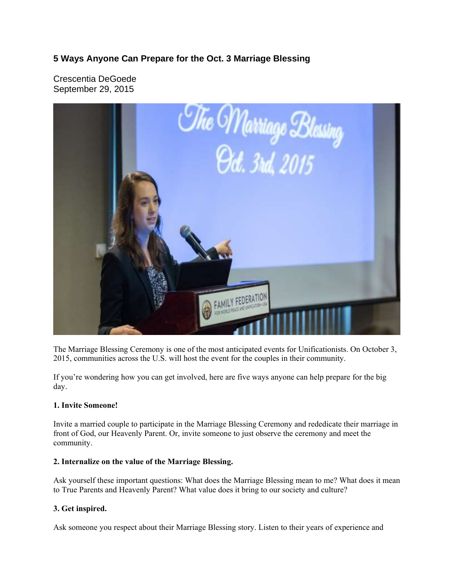# **5 Ways Anyone Can Prepare for the Oct. 3 Marriage Blessing**

Crescentia DeGoede September 29, 2015



The Marriage Blessing Ceremony is one of the most anticipated events for Unificationists. On October 3, 2015, communities across the U.S. will host the event for the couples in their community.

If you're wondering how you can get involved, here are five ways anyone can help prepare for the big day.

## **1. Invite Someone!**

Invite a married couple to participate in the Marriage Blessing Ceremony and rededicate their marriage in front of God, our Heavenly Parent. Or, invite someone to just observe the ceremony and meet the community.

## **2. Internalize on the value of the Marriage Blessing.**

Ask yourself these important questions: What does the Marriage Blessing mean to me? What does it mean to True Parents and Heavenly Parent? What value does it bring to our society and culture?

## **3. Get inspired.**

Ask someone you respect about their Marriage Blessing story. Listen to their years of experience and